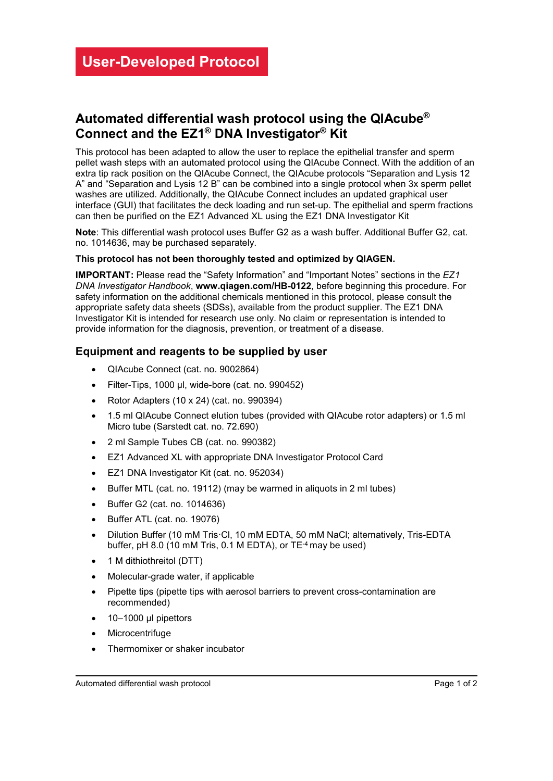## **Automated differential wash protocol using the QIAcube® Connect and the EZ1® DNA Investigator® Kit**

This protocol has been adapted to allow the user to replace the epithelial transfer and sperm pellet wash steps with an automated protocol using the QIAcube Connect. With the addition of an extra tip rack position on the QIAcube Connect, the QIAcube protocols "Separation and Lysis 12 A" and "Separation and Lysis 12 B" can be combined into a single protocol when 3x sperm pellet washes are utilized. Additionally, the QIAcube Connect includes an updated graphical user interface (GUI) that facilitates the deck loading and run set-up. The epithelial and sperm fractions can then be purified on the EZ1 Advanced XL using the EZ1 DNA Investigator Kit

**Note**: This differential wash protocol uses Buffer G2 as a wash buffer. Additional Buffer G2, cat. no. 1014636, may be purchased separately.

#### **This protocol has not been thoroughly tested and optimized by QIAGEN.**

**IMPORTANT:** Please read the "Safety Information" and "Important Notes" sections in the *EZ1 DNA Investigator Handbook*, **www.qiagen.com/HB-0122**, before beginning this procedure. For safety information on the additional chemicals mentioned in this protocol, please consult the appropriate safety data sheets (SDSs), available from the product supplier. The EZ1 DNA Investigator Kit is intended for research use only. No claim or representation is intended to provide information for the diagnosis, prevention, or treatment of a disease.

### **Equipment and reagents to be supplied by user**

- QIAcube Connect (cat. no. 9002864)
- Filter-Tips, 1000 µl, wide-bore (cat. no. 990452)
- Rotor Adapters (10 x 24) (cat. no. 990394)
- 1.5 ml QIAcube Connect elution tubes (provided with QIAcube rotor adapters) or 1.5 ml Micro tube (Sarstedt cat. no. 72.690)
- 2 ml Sample Tubes CB (cat. no. 990382)
- EZ1 Advanced XL with appropriate DNA Investigator Protocol Card
- EZ1 DNA Investigator Kit (cat. no. 952034)
- Buffer MTL (cat. no. 19112) (may be warmed in aliquots in 2 ml tubes)
- Buffer G2 (cat. no. 1014636)
- Buffer ATL (cat. no. 19076)
- Dilution Buffer (10 mM Tris·Cl, 10 mM EDTA, 50 mM NaCl; alternatively, Tris-EDTA buffer, pH 8.0 (10 mM Tris, 0.1 M EDTA), or TE<sup>-4</sup> may be used)
- 1 M dithiothreitol (DTT)
- Molecular-grade water, if applicable
- Pipette tips (pipette tips with aerosol barriers to prevent cross-contamination are recommended)
- 10–1000 µl pipettors
- **Microcentrifuge**
- Thermomixer or shaker incubator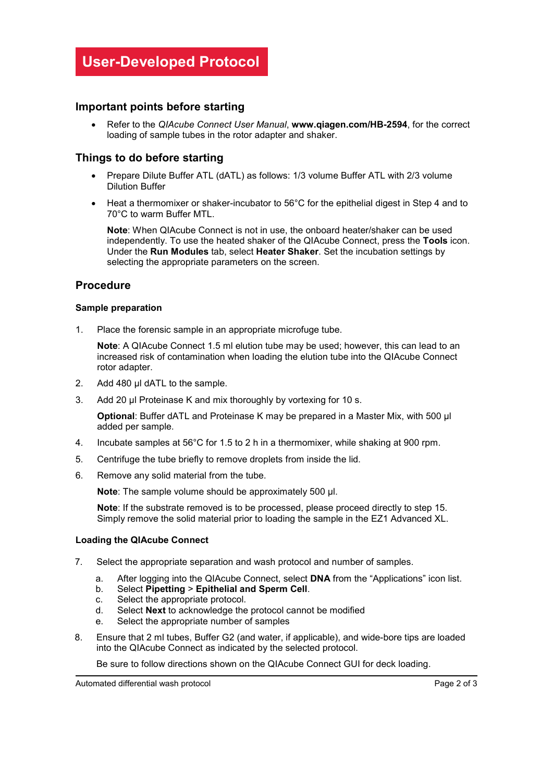### **Important points before starting**

• Refer to the *QIAcube Connect User Manual*, **www.qiagen.com/HB-2594**, for the correct loading of sample tubes in the rotor adapter and shaker.

## **Things to do before starting**

- Prepare Dilute Buffer ATL (dATL) as follows: 1/3 volume Buffer ATL with 2/3 volume Dilution Buffer
- Heat a thermomixer or shaker-incubator to 56°C for the epithelial digest in Step 4 and to 70°C to warm Buffer MTL.

**Note**: When QIAcube Connect is not in use, the onboard heater/shaker can be used independently. To use the heated shaker of the QIAcube Connect, press the **Tools** icon. Under the **Run Modules** tab, select **Heater Shaker**. Set the incubation settings by selecting the appropriate parameters on the screen.

## **Procedure**

#### **Sample preparation**

1. Place the forensic sample in an appropriate microfuge tube.

**Note**: A QIAcube Connect 1.5 ml elution tube may be used; however, this can lead to an increased risk of contamination when loading the elution tube into the QIAcube Connect rotor adapter.

- 2. Add 480 µl dATL to the sample.
- 3. Add 20 µl Proteinase K and mix thoroughly by vortexing for 10 s.

**Optional**: Buffer dATL and Proteinase K may be prepared in a Master Mix, with 500 µl added per sample.

- <span id="page-1-0"></span>4. Incubate samples at 56°C for 1.5 to 2 h in a thermomixer, while shaking at 900 rpm.
- 5. Centrifuge the tube briefly to remove droplets from inside the lid.
- 6. Remove any solid material from the tube.

**Note**: The sample volume should be approximately 500 µl.

**Note**: If the substrate removed is to be processed, please proceed directly to step [15.](#page-3-0) Simply remove the solid material prior to loading the sample in the EZ1 Advanced XL.

#### **Loading the QIAcube Connect**

- 7. Select the appropriate separation and wash protocol and number of samples.
	- a. After logging into the QIAcube Connect, select **DNA** from the "Applications" icon list.
	- b. Select **Pipetting** > **Epithelial and Sperm Cell**.
	- c. Select the appropriate protocol.
	- d. Select **Next** to acknowledge the protocol cannot be modified
	- e. Select the appropriate number of samples
- 8. Ensure that 2 ml tubes, Buffer G2 (and water, if applicable), and wide-bore tips are loaded into the QIAcube Connect as indicated by the selected protocol.

Be sure to follow directions shown on the QIAcube Connect GUI for deck loading.

Automated differential wash protocol **Page 2 of 3** Automated differential wash protocol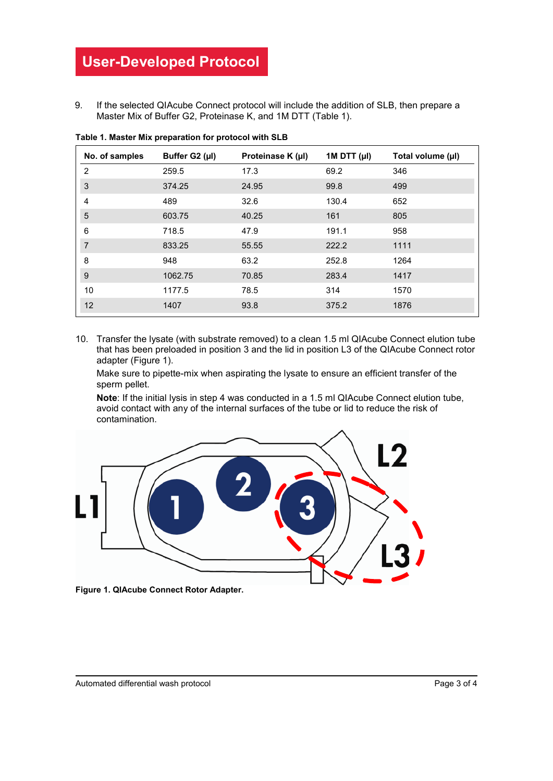# **User-Developed Protocol**

9. If the selected QIAcube Connect protocol will include the addition of SLB, then prepare a Master Mix of Buffer G2, Proteinase K, and 1M DTT [\(Table 1\)](#page-2-0).

| No. of samples | Buffer G2 (µl) | Proteinase K (µl) | 1M DTT $(\mu I)$ | Total volume (µl) |
|----------------|----------------|-------------------|------------------|-------------------|
| $\overline{2}$ | 259.5          | 17.3              | 69.2             | 346               |
| 3              | 374.25         | 24.95             | 99.8             | 499               |
| 4              | 489            | 32.6              | 130.4            | 652               |
| 5              | 603.75         | 40.25             | 161              | 805               |
| 6              | 718.5          | 47.9              | 191.1            | 958               |
| $\overline{7}$ | 833.25         | 55.55             | 222.2            | 1111              |
| 8              | 948            | 63.2              | 252.8            | 1264              |
| 9              | 1062.75        | 70.85             | 283.4            | 1417              |
| 10             | 1177.5         | 78.5              | 314              | 1570              |
| 12             | 1407           | 93.8              | 375.2            | 1876              |

<span id="page-2-0"></span>**Table 1. Master Mix preparation for protocol with SLB**

10. Transfer the lysate (with substrate removed) to a clean 1.5 ml QIAcube Connect elution tube that has been preloaded in position 3 and the lid in position L3 of the QIAcube Connect rotor adapter [\(Figure 1\)](#page-2-1).

Make sure to pipette-mix when aspirating the lysate to ensure an efficient transfer of the sperm pellet.

**Note**: If the initial lysis in step [4](#page-1-0) was conducted in a 1.5 ml QIAcube Connect elution tube, avoid contact with any of the internal surfaces of the tube or lid to reduce the risk of contamination.



<span id="page-2-1"></span>**Figure 1. QIAcube Connect Rotor Adapter.**